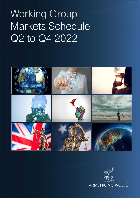

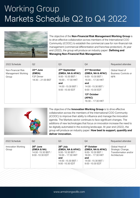

The objective of the **Non-Financial Risk Management Working Group** is to drive effective collaboration across members of the International COO Community (iCOOC) to establish the commercial case for non-financial risk management (commercial differentiation and franchise protection). At year end (2022), the group will produce an industry paper: **Defining and Managing Non-Financial Risk Management.**

| 2022 Schedule                                     | Q <sub>2</sub>                                                          | Q3                                                                                                                                   | Q4                                                                                                                                           | Requested attendee                                          |
|---------------------------------------------------|-------------------------------------------------------------------------|--------------------------------------------------------------------------------------------------------------------------------------|----------------------------------------------------------------------------------------------------------------------------------------------|-------------------------------------------------------------|
| Non-Financial Risk<br>Management Working<br>Group | $22nd$ June<br>(EMEA)<br>F <sub>2</sub> F Dinner<br>$18:30 - 21:00$ BST | 27th September<br>(EMEA, NA & APAC)<br>9:00-10:30 BST /<br>$16:00 - 17:30$ HKT<br>and<br>$14:00 - 15:30$ BST /<br>$9:00 - 10:30$ EDT | 21 <sup>st</sup> November<br>(EMEA, NA & APAC)<br>9:00-10:30 BST /<br>$16:00 - 17:30$ HKT<br>and<br>14:00 -15:30 BST /<br>$9:00 - 10:30$ EDT | Global Head of<br><b>Business Controls or</b><br><b>NFR</b> |
|                                                   |                                                                         |                                                                                                                                      | 13 <sup>th</sup> October<br>(APAC)<br>$16:30 - 17:30$ HKT                                                                                    |                                                             |



The objective of the **Innovation Working Group** is to drive effective collaboration across the members of the International COO Community (iCOOC) to improve their ability to influence and manage the innovation agenda. The Markets sector continues to face significant changes. The additions of new technologies that focus on innovation increase the need to be digitally automated in the evolving landscape. At year end (2022), the group will produce an industry paper: **How best to support, quantify and deliver innovation.**

| 2022 Schedule               | Q <sub>2</sub>                                                                   | Q3                                                                                                                                       | Q4                                                                                                                                          | Requested attendee                                                           |
|-----------------------------|----------------------------------------------------------------------------------|------------------------------------------------------------------------------------------------------------------------------------------|---------------------------------------------------------------------------------------------------------------------------------------------|------------------------------------------------------------------------------|
| Innovation Working<br>Group | 28 <sup>th</sup> June<br>(EMEA & NA)<br>14:00 -15:30 BST /<br>$9:00 - 10:30$ EDT | 28 <sup>th</sup> July<br>(EMEA, NA & APAC)<br>9:00-10:30 BST /<br>$16:00 - 17:30$ HKT<br>and<br>14:00 -15:30 BST /<br>$9:00 - 10:30$ EDT | 5 <sup>th</sup> October<br>(EMEA, NA & APAC)<br>9:00-10:30 BST /<br>$16:00 - 17:30$ HKT<br>and<br>14:00 - 15:30 BST /<br>$9:00 - 10:30$ EDT | Global Head of<br>Strategic Change,<br>Transformation and/or<br>Architecture |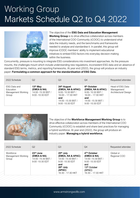

The objective of the **ESG Data and Education Management Working Group** is to drive effective collaboration across members of the International COO Community (iCOOC) to understand what data the industry needs, and the benchmarks and frameworks needed to analyse and standardise it. In parallel, this group will improve iCOOC members' ability to implement educational initiatives to embed ESG factors into everyday decision-making within the business.

Concurrently, pressure is mounting to integrate ESG considerations into investment approaches. As the pressure mounts, the challenges mount which include understanding new regulations, inconsistent ESG data and an absence of standard ESG terms, metrics, and reporting frameworks. At year end (2022), the group will produce an industry paper: **Formulating a common approach for the standardisation of ESG Data.**

| 2022 Schedule                                                          | Q <sub>2</sub>                                                     | Q3                                                                                                                          | Q4                                                                                                                                      | Requested attendee                                             |
|------------------------------------------------------------------------|--------------------------------------------------------------------|-----------------------------------------------------------------------------------------------------------------------------|-----------------------------------------------------------------------------------------------------------------------------------------|----------------------------------------------------------------|
| <b>ESG Data and</b><br><b>Education</b><br>Management Working<br>Group | 13th May<br>(EMEA & NA)<br>14:00 - 15:30 BST /<br>9:00 - 10:30 EDT | 24th August<br>(EMEA, NA & APAC)<br>9:00-10:30 BST /<br>16:00 - 17:30 HKT<br>and<br>14:00 - 15:30 BST /<br>9:00 - 10:30 EDT | 6 <sup>th</sup> October<br>(EMEA, NA & APAC)<br>9:00-10:30 BST /<br>16:00 - 17:30 HKT<br>and<br>14:00 - 15:30 BST /<br>9:00 - 10:30 EDT | Head of ESG Data<br>Management/<br><b>Architectural Design</b> |



The objective of the **Workforce Management Working Group** is to drive effective collaboration across members of the International COO Community (iCOOC) to establish and share best practices for managing a hybrid workforce. At year end (2022), the group will produce an industry paper: **Managing a hybrid workforce.** 

| 2022 Schedule                            | Q2                                                                     | Q3                                                                                                                                        | Q4                                                                                                                                                    | Requested attendee        |
|------------------------------------------|------------------------------------------------------------------------|-------------------------------------------------------------------------------------------------------------------------------------------|-------------------------------------------------------------------------------------------------------------------------------------------------------|---------------------------|
| Workforce<br>Management Working<br>Group | $23rd$ June<br>(EMEA & NA)<br>14:00 -15:30 BST /<br>$9:00 - 10:30$ EDT | $25th$ July<br>(EMEA, NA & APAC)<br>14:00 - 15:30 BST /<br>9:00 -10:30 EDT<br>and<br>20 <sup>th</sup> July<br>(APAC)<br>16:30 - 17:30 HKT | 4 <sup>TH</sup> October<br>(EMEA & NA)<br>14:00 - 15:30 BST /<br>$9:00 - 10:30$ EDT<br>and<br>13 <sup>th</sup> October<br>(APAC)<br>16:30 - 17:30 HKT | Global or<br>Regional COO |
|                                          |                                                                        |                                                                                                                                           |                                                                                                                                                       |                           |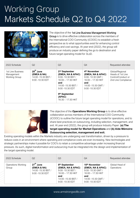

The objective of the 1st Line Business Management Working Group is to drive effective collaboration across the members of the International COO Community (iCOOC) to establish a fresh perspective as to what opportunities exist for enhancing control efficiency and cost savings. At year end (2022), the group will produce an industry paper defining the go to destination and future target operating model for 3LoD.

| 2022 Schedule                                    | Q <sub>2</sub>                                                       | Q <sub>3</sub>                                                                                                                                                                                             | Q4                                                                                                                                           | Requested attendee                                                                |
|--------------------------------------------------|----------------------------------------------------------------------|------------------------------------------------------------------------------------------------------------------------------------------------------------------------------------------------------------|----------------------------------------------------------------------------------------------------------------------------------------------|-----------------------------------------------------------------------------------|
| 1st Line Business<br>Management<br>Working Group | $29th$ June<br>(EMEA & NA)<br>14:00 - 15:30 BST /<br>9:00 -10:30 EDT | 2 <sup>nd</sup> September<br>(EMEA, NA & APAC)<br>9:00-10:30 BST /<br>$16:00 - 17:30$ HKT<br>and<br>14:00 -15:30 BST /<br>$9:00 - 10:30$ EDT<br>9 <sup>th</sup> September<br>(APAC)<br>$16:30 - 17:30$ HKT | 4 <sup>th</sup> November<br>(EMEA, NA & APAC)<br>9:00-10:30 GMT /<br>$16:00 - 17:30$ HKT<br>and<br>14:00 - 15:30 GMT /<br>$9:00 - 10:30$ EDT | Global/Regional<br>Heads of 1st Line<br>Control/Conduct or<br>2nd Line Compliance |



The objective of the **Operations Working Group** is to drive effective collaboration across members of the International COO Community (iCOOC) to outline the future target operating model for operations, and to share best practices on outsourcing, including selection, management, and exit. At year end (2022), the group will produce Industry Paper: **(a) The target operating model for Market Operations** and **(b) Aide Mémoire: Outsourcing selection, management and exit.**

Existing operating models within the Markets industry are undergoing vast transformation, driven by a pressure to reduce costs in an environment where operating and compliance costs are ever-increasing. New technologies and strategic partnerships make it possible for COO's to retain a competitive advantage under increasing financial pressure. As such, digital transformation and outsourcing must be integrated into the design and implementation of the target operating model.

| 2022 Schedule                      | Q <sub>2</sub>                                                                 | Q3                                                                                                                                         | Q4                                                                                                                                          | Requested attendee           |  |
|------------------------------------|--------------------------------------------------------------------------------|--------------------------------------------------------------------------------------------------------------------------------------------|---------------------------------------------------------------------------------------------------------------------------------------------|------------------------------|--|
| <b>Operations Working</b><br>Group | 27 <sup>th</sup> June<br>(EMEA & NA)<br>14:00 - 15:30 BST /<br>9:00 -10:30 EDT | 8 <sup>th</sup> September<br>(EMEA, NA & APAC)<br>9:00-10:30 BST /<br>$16:00 - 17:30$ HKT<br>and<br>14:00 - 15:30 BST /<br>9:00 -10:30 EDT | 10 <sup>th</sup> November<br>(EMEA, NA & APAC)<br>9:00-10:30 GMT /<br>$16:00 - 17:30$ HKT<br>and<br>14:00 - 15:30 GMT /<br>9:00 - 10:30 EDT | Global Head of<br>Operations |  |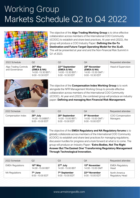

The objective of the **Algo Trading Working Group** is to drive effective collaboration across members of the International COO Community (iCOOC) to establish and share best practices. At year end (2022), the group will produce a COO Industry Paper: **Defining the Go-To Destination and Future Target Operating Model for the 3LoD.**  This will be presented at year end and the Non-Financial Risk Summit in Q1 of 2023.

| 2022 Schedule                                  | Q2                                                                  | Q3                                                                                    | Q4                                                                                   | Requested attendee         |
|------------------------------------------------|---------------------------------------------------------------------|---------------------------------------------------------------------------------------|--------------------------------------------------------------------------------------|----------------------------|
| <b>Algo Trading Controls</b><br>and Governance | 26th May<br>(EMEA & NA)<br>14:00 -15:30 BST /<br>$9:00 - 10:30$ EDT | 22 <sup>nd</sup> September<br>(EMEA & NA)<br>14:00 -15:30 BST /<br>$9:00 - 10:30$ EDT | 28 <sup>th</sup> November<br>(EMEA & NA)<br>14:00 -15:30 GMT /<br>$9:00 - 10:30$ EDT | <b>Head of Supervision</b> |



The objective of the **Compensation Index Working Group** is to work alongside the NFR Management Working Group to provide effective collaboration across members of the International COO Community (iCOOC). At year end (2022), the combined group will produce an industry paper: **Defining and managing Non Financial Risk Management.**

| 2022 Schedule      | Q2                                                                 | Q3                                                                      | Q4                                                                   | Requested attendee           |
|--------------------|--------------------------------------------------------------------|-------------------------------------------------------------------------|----------------------------------------------------------------------|------------------------------|
| Compensation Index | 26 <sup>th</sup> July<br>14:00 - 15:00 BST /<br>$9:00 - 10:00$ EDT | 28 <sup>th</sup> September<br>14:00 - 15:00 BST /<br>$9:00 - 10:00$ EDT | 9 <sup>th</sup> November<br>14:00 -15:00 GMT /<br>$9:00 - 10:00$ EDT | COO Compensation<br>Managers |



The objective of the **EMEA Regulatory and NA Regulatory forums** is to globally collaborate across members of the International COO Community (iCOOC) to establish and share best practices for managing regulations; discussion hurdles for progress and a look forward at what is to come. The group will produce an Industry Paper: **'Extra Bodies, Not The Right Answer But The Easiest One' Transforming Regulatory Management Through Technological Innovation.** 

| 2022 Schedule           | Q2                   | Q3                        | Q4                        | Requested attendee     |
|-------------------------|----------------------|---------------------------|---------------------------|------------------------|
| <b>EMEA Regulations</b> | 16 <sup>th</sup> May | 27 <sup>th</sup> July     | 15 <sup>th</sup> November | <b>EMEA Regulatory</b> |
|                         | 14:00 - 15:00 BST    | 14:00 - 15:00 BST         | 14:00 -15:00 GMT          | Head                   |
| <b>NA Regulations</b>   | 7 <sup>th</sup> June | 7 <sup>th</sup> September | 22 <sup>nd</sup> November | North America          |
|                         | 9:00 - 10:00 EDT     | 9:00 -10:00 EDT           | 9:00 -10:00 EDT           | Regulatory Head        |